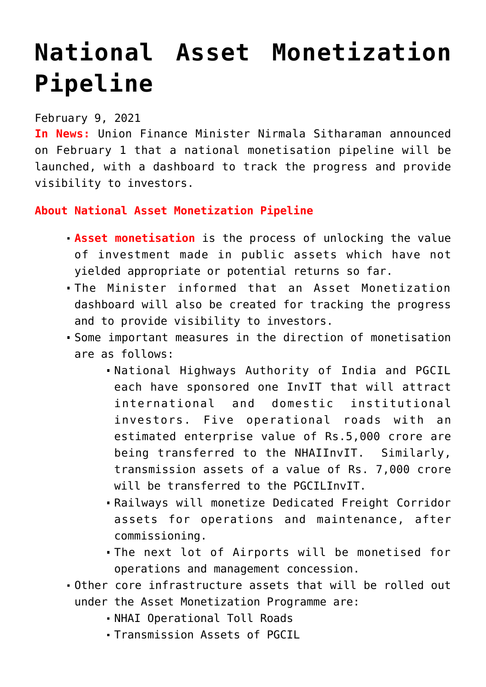## **[National Asset Monetization](https://journalsofindia.com/national-asset-monetization-pipeline/) [Pipeline](https://journalsofindia.com/national-asset-monetization-pipeline/)**

## February 9, 2021

**In News:** Union Finance Minister Nirmala Sitharaman announced on February 1 that a national monetisation pipeline will be launched, with a dashboard to track the progress and provide visibility to investors.

## **About National Asset Monetization Pipeline**

- **Asset monetisation** is the process of unlocking the value of investment made in public assets which have not yielded appropriate or potential returns so far.
- The Minister informed that an Asset Monetization dashboard will also be created for tracking the progress and to provide visibility to investors.
- Some important measures in the direction of monetisation are as follows:
	- National Highways Authority of India and PGCIL each have sponsored one InvIT that will attract international and domestic institutional investors. Five operational roads with an estimated enterprise value of Rs.5,000 crore are being transferred to the NHAIInvIT. Similarly, transmission assets of a value of Rs. 7,000 crore will be transferred to the PGCILInvIT.
	- Railways will monetize Dedicated Freight Corridor assets for operations and maintenance, after commissioning.
	- The next lot of Airports will be monetised for operations and management concession.
- Other core infrastructure assets that will be rolled out under the Asset Monetization Programme are:
	- NHAI Operational Toll Roads
	- Transmission Assets of PGCIL